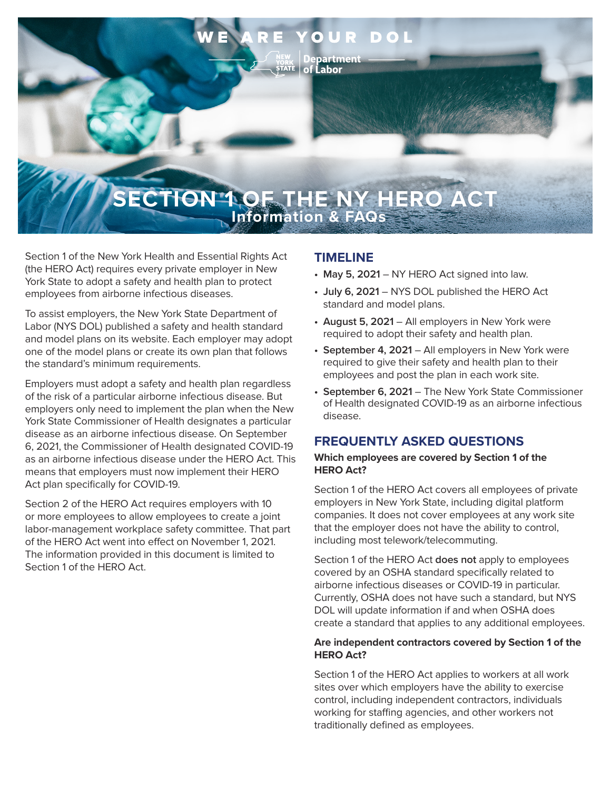

Section 1 of the New York Health and Essential Rights Act (the HERO Act) requires every private employer in New York State to adopt a safety and health plan to protect employees from airborne infectious diseases.

To assist employers, the New York State Department of Labor (NYS DOL) published a safety and health standard and model plans on its website. Each employer may adopt one of the model plans or create its own plan that follows the standard's minimum requirements.

Employers must adopt a safety and health plan regardless of the risk of a particular airborne infectious disease. But employers only need to implement the plan when the New York State Commissioner of Health designates a particular disease as an airborne infectious disease. On September 6, 2021, the Commissioner of Health designated COVID-19 as an airborne infectious disease under the HERO Act. This means that employers must now implement their HERO Act plan specifically for COVID-19.

Section 2 of the HERO Act requires employers with 10 or more employees to allow employees to create a joint labor-management workplace safety committee. That part of the HERO Act went into effect on November 1, 2021. The information provided in this document is limited to Section 1 of the HERO Act.

## **TIMELINE**

- **• May 5, 2021** NY HERO Act signed into law.
- **• July 6, 2021**  NYS DOL published the HERO Act standard and model plans.
- **• August 5, 2021** All employers in New York were required to adopt their safety and health plan.
- **• September 4, 2021** All employers in New York were required to give their safety and health plan to their employees and post the plan in each work site.
- **• September 6, 2021** The New York State Commissioner of Health designated COVID-19 as an airborne infectious disease.

# **FREQUENTLY ASKED QUESTIONS**

#### **Which employees are covered by Section 1 of the HERO Act?**

Section 1 of the HERO Act covers all employees of private employers in New York State, including digital platform companies. It does not cover employees at any work site that the employer does not have the ability to control, including most telework/telecommuting.

Section 1 of the HERO Act **does not** apply to employees covered by an OSHA standard specifically related to airborne infectious diseases or COVID-19 in particular. Currently, OSHA does not have such a standard, but NYS DOL will update information if and when OSHA does create a standard that applies to any additional employees.

#### **Are independent contractors covered by Section 1 of the HERO Act?**

Section 1 of the HERO Act applies to workers at all work sites over which employers have the ability to exercise control, including independent contractors, individuals working for staffing agencies, and other workers not traditionally defined as employees.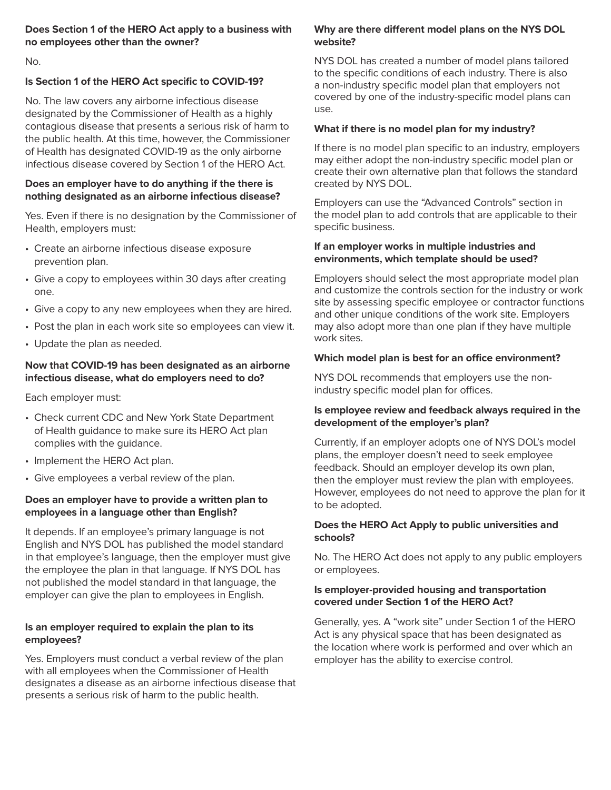### **Does Section 1 of the HERO Act apply to a business with no employees other than the owner?**

No.

## **Is Section 1 of the HERO Act specific to COVID-19?**

No. The law covers any airborne infectious disease designated by the Commissioner of Health as a highly contagious disease that presents a serious risk of harm to the public health. At this time, however, the Commissioner of Health has designated COVID-19 as the only airborne infectious disease covered by Section 1 of the HERO Act.

#### **Does an employer have to do anything if the there is nothing designated as an airborne infectious disease?**

Yes. Even if there is no designation by the Commissioner of Health, employers must:

- Create an airborne infectious disease exposure prevention plan.
- Give a copy to employees within 30 days after creating one.
- Give a copy to any new employees when they are hired.
- Post the plan in each work site so employees can view it.
- Update the plan as needed.

### **Now that COVID-19 has been designated as an airborne infectious disease, what do employers need to do?**

Each employer must:

- Check current CDC and New York State Department of Health guidance to make sure its HERO Act plan complies with the guidance.
- Implement the HERO Act plan.
- Give employees a verbal review of the plan.

### **Does an employer have to provide a written plan to employees in a language other than English?**

It depends. If an employee's primary language is not English and NYS DOL has published the model standard in that employee's language, then the employer must give the employee the plan in that language. If NYS DOL has not published the model standard in that language, the employer can give the plan to employees in English.

#### **Is an employer required to explain the plan to its employees?**

Yes. Employers must conduct a verbal review of the plan with all employees when the Commissioner of Health designates a disease as an airborne infectious disease that presents a serious risk of harm to the public health.

## **Why are there different model plans on the NYS DOL website?**

NYS DOL has created a number of model plans tailored to the specific conditions of each industry. There is also a non-industry specific model plan that employers not covered by one of the industry-specific model plans can use.

## **What if there is no model plan for my industry?**

If there is no model plan specific to an industry, employers may either adopt the non-industry specific model plan or create their own alternative plan that follows the standard created by NYS DOL.

Employers can use the "Advanced Controls" section in the model plan to add controls that are applicable to their specific business.

#### **If an employer works in multiple industries and environments, which template should be used?**

Employers should select the most appropriate model plan and customize the controls section for the industry or work site by assessing specific employee or contractor functions and other unique conditions of the work site. Employers may also adopt more than one plan if they have multiple work sites.

## **Which model plan is best for an office environment?**

NYS DOL recommends that employers use the nonindustry specific model plan for offices.

### **Is employee review and feedback always required in the development of the employer's plan?**

Currently, if an employer adopts one of NYS DOL's model plans, the employer doesn't need to seek employee feedback. Should an employer develop its own plan, then the employer must review the plan with employees. However, employees do not need to approve the plan for it to be adopted.

## **Does the HERO Act Apply to public universities and schools?**

No. The HERO Act does not apply to any public employers or employees.

## **Is employer-provided housing and transportation covered under Section 1 of the HERO Act?**

Generally, yes. A "work site" under Section 1 of the HERO Act is any physical space that has been designated as the location where work is performed and over which an employer has the ability to exercise control.